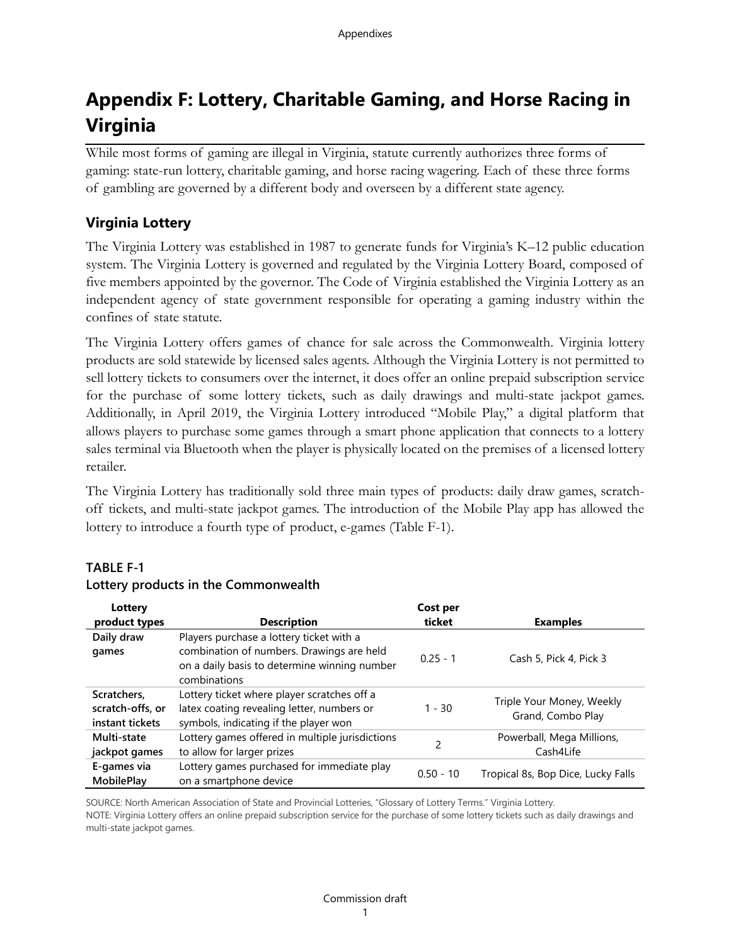# **Appendix F: Lottery, Charitable Gaming, and Horse Racing in Virginia**

While most forms of gaming are illegal in Virginia, statute currently authorizes three forms of gaming: state-run lottery, charitable gaming, and horse racing wagering. Each of these three forms of gambling are governed by a different body and overseen by a different state agency.

# **Virginia Lottery**

The Virginia Lottery was established in 1987 to generate funds for Virginia's K–12 public education system. The Virginia Lottery is governed and regulated by the Virginia Lottery Board, composed of five members appointed by the governor. The Code of Virginia established the Virginia Lottery as an independent agency of state government responsible for operating a gaming industry within the confines of state statute.

The Virginia Lottery offers games of chance for sale across the Commonwealth. Virginia lottery products are sold statewide by licensed sales agents. Although the Virginia Lottery is not permitted to sell lottery tickets to consumers over the internet, it does offer an online prepaid subscription service for the purchase of some lottery tickets, such as daily drawings and multi-state jackpot games. Additionally, in April 2019, the Virginia Lottery introduced "Mobile Play," a digital platform that allows players to purchase some games through a smart phone application that connects to a lottery sales terminal via Bluetooth when the player is physically located on the premises of a licensed lottery retailer.

The Virginia Lottery has traditionally sold three main types of products: daily draw games, scratchoff tickets, and multi-state jackpot games. The introduction of the Mobile Play app has allowed the lottery to introduce a fourth type of product, e-games (Table F-1).

#### **TABLE F-1**

| Lottery<br>product types                           | <b>Description</b>                                                                                                                                    | Cost per<br>ticket | <b>Examples</b>                                |
|----------------------------------------------------|-------------------------------------------------------------------------------------------------------------------------------------------------------|--------------------|------------------------------------------------|
| Daily draw<br>games                                | Players purchase a lottery ticket with a<br>combination of numbers. Drawings are held<br>on a daily basis to determine winning number<br>combinations | $0.25 - 1$         | Cash 5, Pick 4, Pick 3                         |
| Scratchers,<br>scratch-offs, or<br>instant tickets | Lottery ticket where player scratches off a<br>latex coating revealing letter, numbers or<br>symbols, indicating if the player won                    | $1 - 30$           | Triple Your Money, Weekly<br>Grand, Combo Play |
| Multi-state<br>jackpot games                       | Lottery games offered in multiple jurisdictions<br>to allow for larger prizes                                                                         | 2                  | Powerball, Mega Millions,<br>Cash4Life         |
| E-games via<br><b>MobilePlay</b>                   | Lottery games purchased for immediate play<br>on a smartphone device                                                                                  | $0.50 - 10$        | Tropical 8s, Bop Dice, Lucky Falls             |

#### **Lottery products in the Commonwealth**

SOURCE: North American Association of State and Provincial Lotteries, "Glossary of Lottery Terms." Virginia Lottery. NOTE: Virginia Lottery offers an online prepaid subscription service for the purchase of some lottery tickets such as daily drawings and multi-state jackpot games.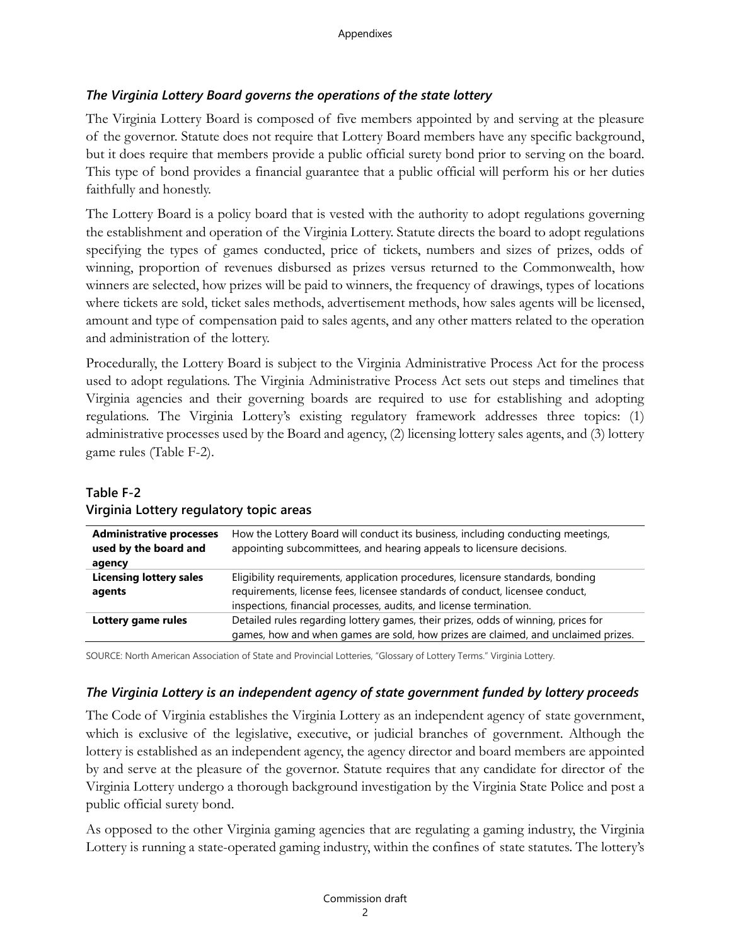# *The Virginia Lottery Board governs the operations of the state lottery*

The Virginia Lottery Board is composed of five members appointed by and serving at the pleasure of the governor. Statute does not require that Lottery Board members have any specific background, but it does require that members provide a public official surety bond prior to serving on the board. This type of bond provides a financial guarantee that a public official will perform his or her duties faithfully and honestly.

The Lottery Board is a policy board that is vested with the authority to adopt regulations governing the establishment and operation of the Virginia Lottery. Statute directs the board to adopt regulations specifying the types of games conducted, price of tickets, numbers and sizes of prizes, odds of winning, proportion of revenues disbursed as prizes versus returned to the Commonwealth, how winners are selected, how prizes will be paid to winners, the frequency of drawings, types of locations where tickets are sold, ticket sales methods, advertisement methods, how sales agents will be licensed, amount and type of compensation paid to sales agents, and any other matters related to the operation and administration of the lottery.

Procedurally, the Lottery Board is subject to the Virginia Administrative Process Act for the process used to adopt regulations. The Virginia Administrative Process Act sets out steps and timelines that Virginia agencies and their governing boards are required to use for establishing and adopting regulations. The Virginia Lottery's existing regulatory framework addresses three topics: (1) administrative processes used by the Board and agency, (2) licensing lottery sales agents, and (3) lottery game rules (Table F-2).

| <b>Administrative processes</b><br>used by the board and<br>agency | How the Lottery Board will conduct its business, including conducting meetings,<br>appointing subcommittees, and hearing appeals to licensure decisions.                                                                             |
|--------------------------------------------------------------------|--------------------------------------------------------------------------------------------------------------------------------------------------------------------------------------------------------------------------------------|
| <b>Licensing lottery sales</b><br>agents                           | Eligibility requirements, application procedures, licensure standards, bonding<br>requirements, license fees, licensee standards of conduct, licensee conduct,<br>inspections, financial processes, audits, and license termination. |
| Lottery game rules                                                 | Detailed rules regarding lottery games, their prizes, odds of winning, prices for<br>games, how and when games are sold, how prizes are claimed, and unclaimed prizes.                                                               |

## **Table F-2 Virginia Lottery regulatory topic areas**

SOURCE: North American Association of State and Provincial Lotteries, "Glossary of Lottery Terms." Virginia Lottery.

#### *The Virginia Lottery is an independent agency of state government funded by lottery proceeds*

The Code of Virginia establishes the Virginia Lottery as an independent agency of state government, which is exclusive of the legislative, executive, or judicial branches of government. Although the lottery is established as an independent agency, the agency director and board members are appointed by and serve at the pleasure of the governor. Statute requires that any candidate for director of the Virginia Lottery undergo a thorough background investigation by the Virginia State Police and post a public official surety bond.

As opposed to the other Virginia gaming agencies that are regulating a gaming industry, the Virginia Lottery is running a state-operated gaming industry, within the confines of state statutes. The lottery's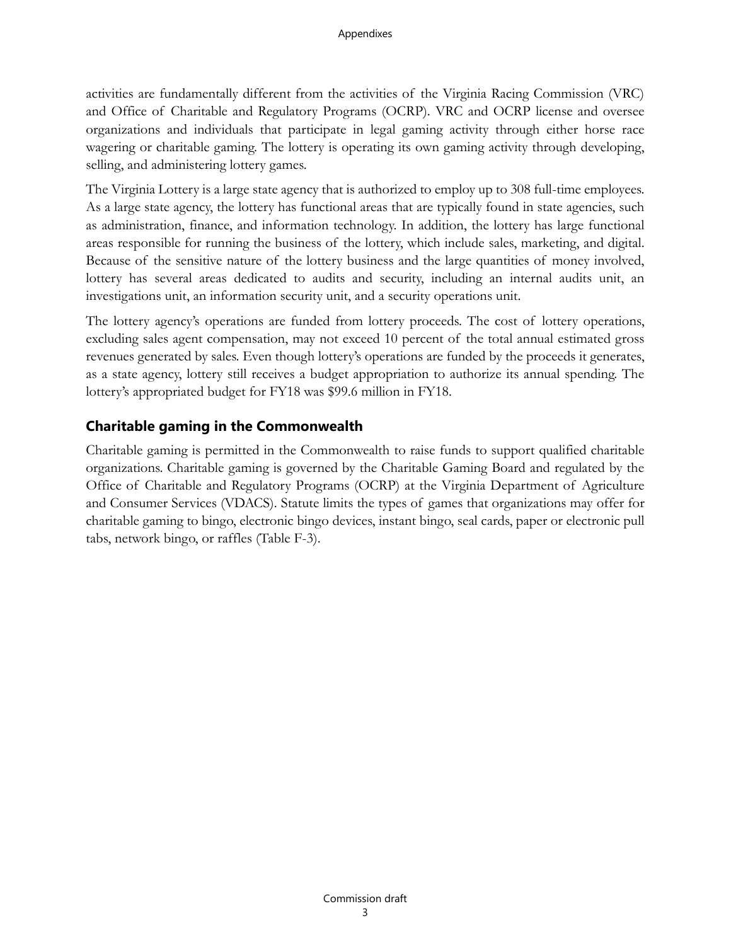activities are fundamentally different from the activities of the Virginia Racing Commission (VRC) and Office of Charitable and Regulatory Programs (OCRP). VRC and OCRP license and oversee organizations and individuals that participate in legal gaming activity through either horse race wagering or charitable gaming. The lottery is operating its own gaming activity through developing, selling, and administering lottery games.

The Virginia Lottery is a large state agency that is authorized to employ up to 308 full-time employees. As a large state agency, the lottery has functional areas that are typically found in state agencies, such as administration, finance, and information technology. In addition, the lottery has large functional areas responsible for running the business of the lottery, which include sales, marketing, and digital. Because of the sensitive nature of the lottery business and the large quantities of money involved, lottery has several areas dedicated to audits and security, including an internal audits unit, an investigations unit, an information security unit, and a security operations unit.

The lottery agency's operations are funded from lottery proceeds. The cost of lottery operations, excluding sales agent compensation, may not exceed 10 percent of the total annual estimated gross revenues generated by sales. Even though lottery's operations are funded by the proceeds it generates, as a state agency, lottery still receives a budget appropriation to authorize its annual spending. The lottery's appropriated budget for FY18 was \$99.6 million in FY18.

# **Charitable gaming in the Commonwealth**

Charitable gaming is permitted in the Commonwealth to raise funds to support qualified charitable organizations. Charitable gaming is governed by the Charitable Gaming Board and regulated by the Office of Charitable and Regulatory Programs (OCRP) at the Virginia Department of Agriculture and Consumer Services (VDACS). Statute limits the types of games that organizations may offer for charitable gaming to bingo, electronic bingo devices, instant bingo, seal cards, paper or electronic pull tabs, network bingo, or raffles (Table F-3).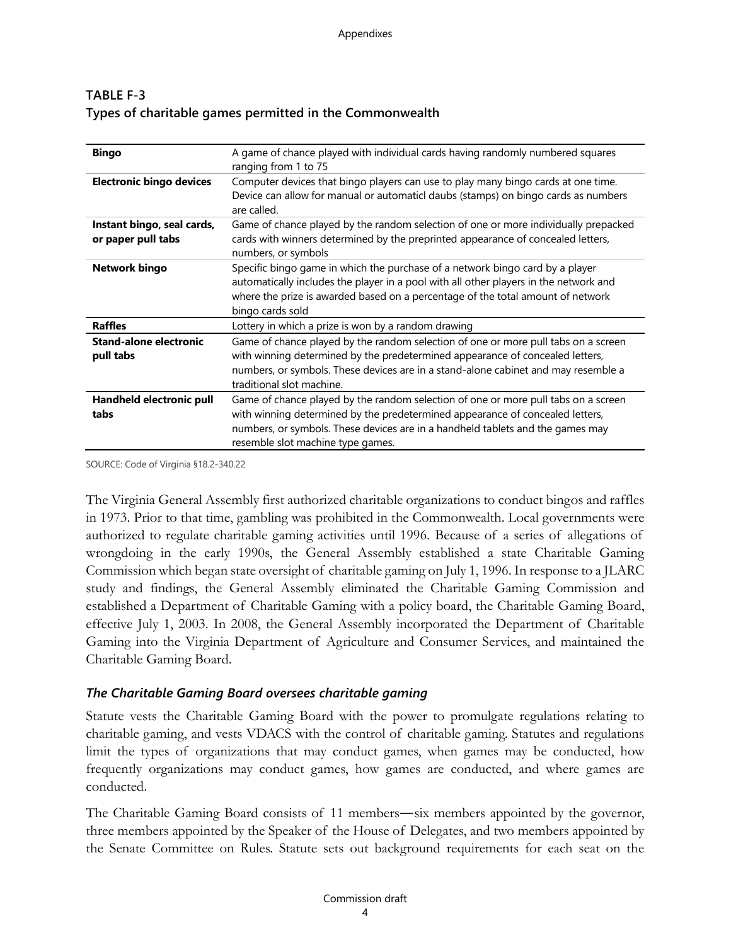| <b>Bingo</b>                                     | A game of chance played with individual cards having randomly numbered squares<br>ranging from 1 to 75                                                                                                                                                                                     |
|--------------------------------------------------|--------------------------------------------------------------------------------------------------------------------------------------------------------------------------------------------------------------------------------------------------------------------------------------------|
| <b>Electronic bingo devices</b>                  | Computer devices that bingo players can use to play many bingo cards at one time.<br>Device can allow for manual or automaticl daubs (stamps) on bingo cards as numbers<br>are called.                                                                                                     |
| Instant bingo, seal cards,<br>or paper pull tabs | Game of chance played by the random selection of one or more individually prepacked<br>cards with winners determined by the preprinted appearance of concealed letters,<br>numbers, or symbols                                                                                             |
| <b>Network bingo</b>                             | Specific bingo game in which the purchase of a network bingo card by a player<br>automatically includes the player in a pool with all other players in the network and<br>where the prize is awarded based on a percentage of the total amount of network<br>bingo cards sold              |
| <b>Raffles</b>                                   | Lottery in which a prize is won by a random drawing                                                                                                                                                                                                                                        |
| <b>Stand-alone electronic</b><br>pull tabs       | Game of chance played by the random selection of one or more pull tabs on a screen<br>with winning determined by the predetermined appearance of concealed letters,<br>numbers, or symbols. These devices are in a stand-alone cabinet and may resemble a<br>traditional slot machine.     |
| Handheld electronic pull<br>tabs                 | Game of chance played by the random selection of one or more pull tabs on a screen<br>with winning determined by the predetermined appearance of concealed letters,<br>numbers, or symbols. These devices are in a handheld tablets and the games may<br>resemble slot machine type games. |

## **TABLE F-3 Types of charitable games permitted in the Commonwealth**

SOURCE: Code of Virginia §18.2-340.22

The Virginia General Assembly first authorized charitable organizations to conduct bingos and raffles in 1973. Prior to that time, gambling was prohibited in the Commonwealth. Local governments were authorized to regulate charitable gaming activities until 1996. Because of a series of allegations of wrongdoing in the early 1990s, the General Assembly established a state Charitable Gaming Commission which began state oversight of charitable gaming on July 1, 1996. In response to a JLARC study and findings, the General Assembly eliminated the Charitable Gaming Commission and established a Department of Charitable Gaming with a policy board, the Charitable Gaming Board, effective July 1, 2003. In 2008, the General Assembly incorporated the Department of Charitable Gaming into the Virginia Department of Agriculture and Consumer Services, and maintained the Charitable Gaming Board.

#### *The Charitable Gaming Board oversees charitable gaming*

Statute vests the Charitable Gaming Board with the power to promulgate regulations relating to charitable gaming, and vests VDACS with the control of charitable gaming. Statutes and regulations limit the types of organizations that may conduct games, when games may be conducted, how frequently organizations may conduct games, how games are conducted, and where games are conducted.

The Charitable Gaming Board consists of 11 members—six members appointed by the governor, three members appointed by the Speaker of the House of Delegates, and two members appointed by the Senate Committee on Rules. Statute sets out background requirements for each seat on the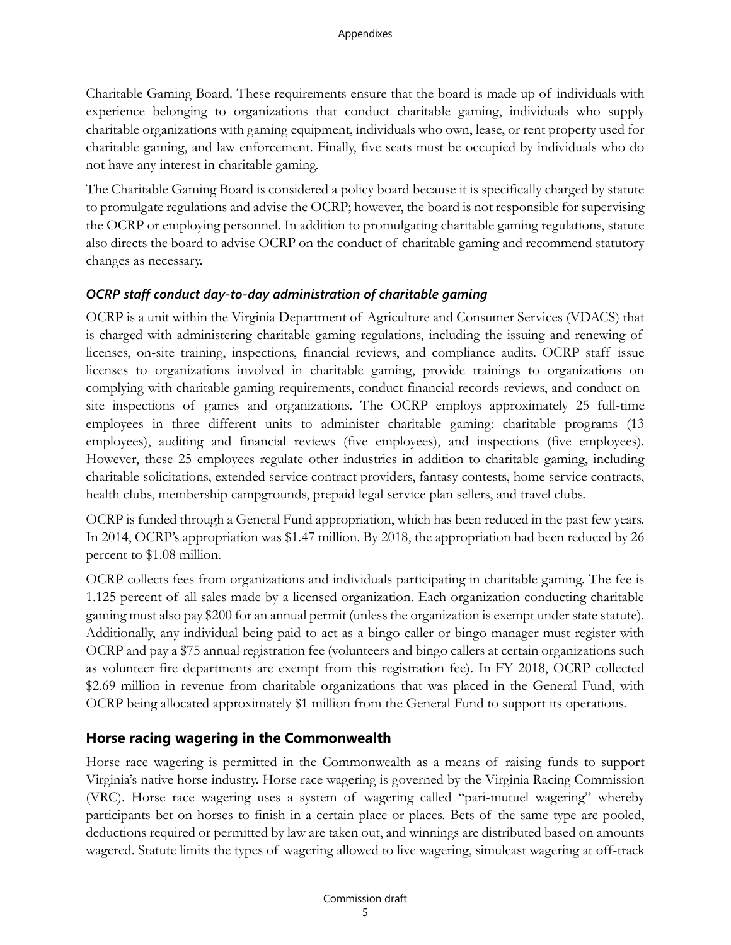Charitable Gaming Board. These requirements ensure that the board is made up of individuals with experience belonging to organizations that conduct charitable gaming, individuals who supply charitable organizations with gaming equipment, individuals who own, lease, or rent property used for charitable gaming, and law enforcement. Finally, five seats must be occupied by individuals who do not have any interest in charitable gaming.

The Charitable Gaming Board is considered a policy board because it is specifically charged by statute to promulgate regulations and advise the OCRP; however, the board is not responsible for supervising the OCRP or employing personnel. In addition to promulgating charitable gaming regulations, statute also directs the board to advise OCRP on the conduct of charitable gaming and recommend statutory changes as necessary.

#### *OCRP staff conduct day-to-day administration of charitable gaming*

OCRP is a unit within the Virginia Department of Agriculture and Consumer Services (VDACS) that is charged with administering charitable gaming regulations, including the issuing and renewing of licenses, on-site training, inspections, financial reviews, and compliance audits. OCRP staff issue licenses to organizations involved in charitable gaming, provide trainings to organizations on complying with charitable gaming requirements, conduct financial records reviews, and conduct onsite inspections of games and organizations. The OCRP employs approximately 25 full-time employees in three different units to administer charitable gaming: charitable programs (13 employees), auditing and financial reviews (five employees), and inspections (five employees). However, these 25 employees regulate other industries in addition to charitable gaming, including charitable solicitations, extended service contract providers, fantasy contests, home service contracts, health clubs, membership campgrounds, prepaid legal service plan sellers, and travel clubs.

OCRP is funded through a General Fund appropriation, which has been reduced in the past few years. In 2014, OCRP's appropriation was \$1.47 million. By 2018, the appropriation had been reduced by 26 percent to \$1.08 million.

OCRP collects fees from organizations and individuals participating in charitable gaming. The fee is 1.125 percent of all sales made by a licensed organization. Each organization conducting charitable gaming must also pay \$200 for an annual permit (unless the organization is exempt under state statute). Additionally, any individual being paid to act as a bingo caller or bingo manager must register with OCRP and pay a \$75 annual registration fee (volunteers and bingo callers at certain organizations such as volunteer fire departments are exempt from this registration fee). In FY 2018, OCRP collected \$2.69 million in revenue from charitable organizations that was placed in the General Fund, with OCRP being allocated approximately \$1 million from the General Fund to support its operations.

#### **Horse racing wagering in the Commonwealth**

Horse race wagering is permitted in the Commonwealth as a means of raising funds to support Virginia's native horse industry. Horse race wagering is governed by the Virginia Racing Commission (VRC). Horse race wagering uses a system of wagering called "pari-mutuel wagering" whereby participants bet on horses to finish in a certain place or places. Bets of the same type are pooled, deductions required or permitted by law are taken out, and winnings are distributed based on amounts wagered. Statute limits the types of wagering allowed to live wagering, simulcast wagering at off-track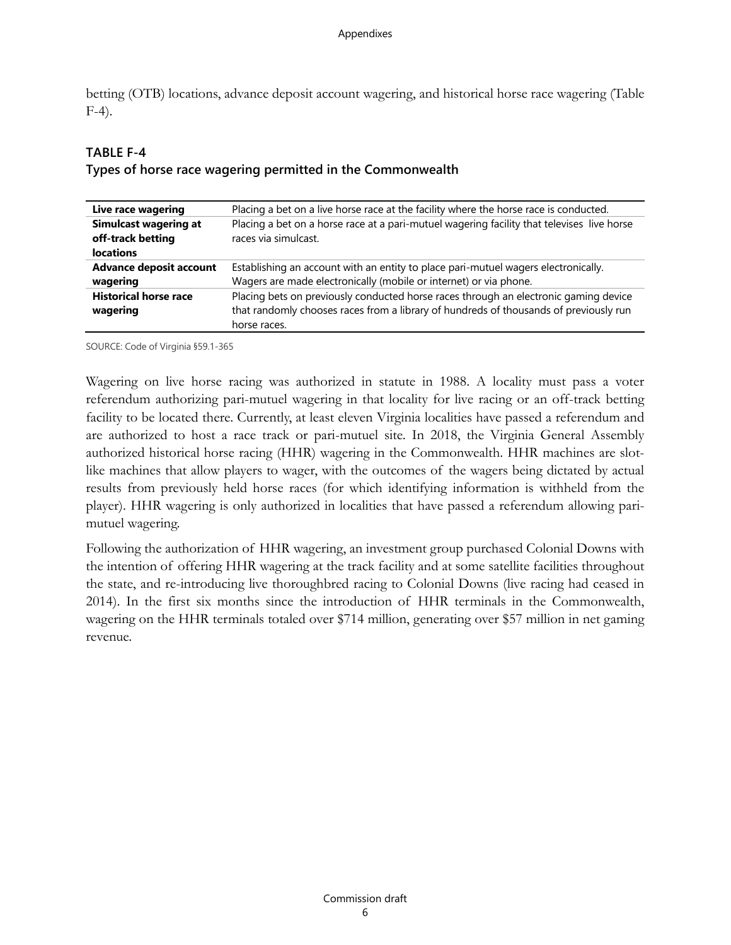betting (OTB) locations, advance deposit account wagering, and historical horse race wagering (Table F-4).

#### **TABLE F-4**

| Live race wagering             | Placing a bet on a live horse race at the facility where the horse race is conducted.      |  |
|--------------------------------|--------------------------------------------------------------------------------------------|--|
| Simulcast wagering at          | Placing a bet on a horse race at a pari-mutuel wagering facility that televises live horse |  |
| off-track betting              | races via simulcast.                                                                       |  |
| <b>locations</b>               |                                                                                            |  |
| <b>Advance deposit account</b> | Establishing an account with an entity to place pari-mutuel wagers electronically.         |  |
| wagering                       | Wagers are made electronically (mobile or internet) or via phone.                          |  |
| <b>Historical horse race</b>   | Placing bets on previously conducted horse races through an electronic gaming device       |  |
| wagering                       | that randomly chooses races from a library of hundreds of thousands of previously run      |  |
|                                | horse races.                                                                               |  |

# **Types of horse race wagering permitted in the Commonwealth**

SOURCE: Code of Virginia §59.1-365

Wagering on live horse racing was authorized in statute in 1988. A locality must pass a voter referendum authorizing pari-mutuel wagering in that locality for live racing or an off-track betting facility to be located there. Currently, at least eleven Virginia localities have passed a referendum and are authorized to host a race track or pari-mutuel site. In 2018, the Virginia General Assembly authorized historical horse racing (HHR) wagering in the Commonwealth. HHR machines are slotlike machines that allow players to wager, with the outcomes of the wagers being dictated by actual results from previously held horse races (for which identifying information is withheld from the player). HHR wagering is only authorized in localities that have passed a referendum allowing parimutuel wagering.

Following the authorization of HHR wagering, an investment group purchased Colonial Downs with the intention of offering HHR wagering at the track facility and at some satellite facilities throughout the state, and re-introducing live thoroughbred racing to Colonial Downs (live racing had ceased in 2014). In the first six months since the introduction of HHR terminals in the Commonwealth, wagering on the HHR terminals totaled over \$714 million, generating over \$57 million in net gaming revenue.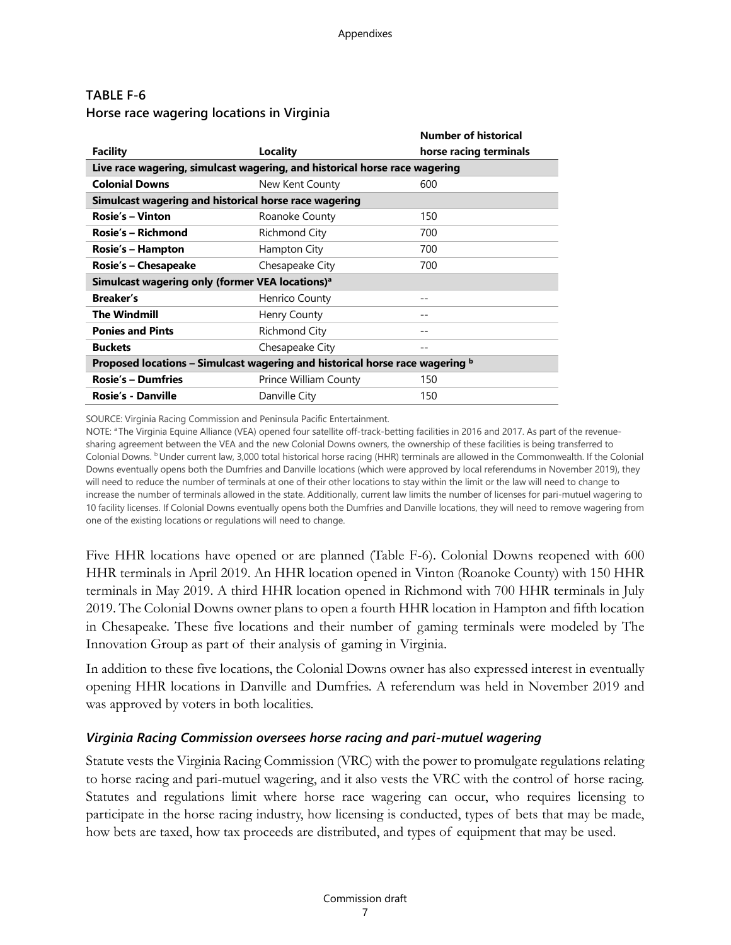#### **Horse race wagering locations in Virginia**

|                                                                              |                       | <b>Number of historical</b> |  |  |  |
|------------------------------------------------------------------------------|-----------------------|-----------------------------|--|--|--|
| Facility                                                                     | Locality              | horse racing terminals      |  |  |  |
| Live race wagering, simulcast wagering, and historical horse race wagering   |                       |                             |  |  |  |
| <b>Colonial Downs</b>                                                        | New Kent County       | 600                         |  |  |  |
| Simulcast wagering and historical horse race wagering                        |                       |                             |  |  |  |
| <b>Rosie's - Vinton</b>                                                      | Roanoke County        | 150                         |  |  |  |
| Rosie's - Richmond                                                           | <b>Richmond City</b>  | 700                         |  |  |  |
| <b>Rosie's - Hampton</b>                                                     | Hampton City          | 700                         |  |  |  |
| <b>Rosie's - Chesapeake</b>                                                  | Chesapeake City       | 700                         |  |  |  |
| Simulcast wagering only (former VEA locations) <sup>a</sup>                  |                       |                             |  |  |  |
| <b>Breaker's</b>                                                             | Henrico County        |                             |  |  |  |
| <b>The Windmill</b>                                                          | Henry County          | --                          |  |  |  |
| <b>Ponies and Pints</b>                                                      | Richmond City         |                             |  |  |  |
| <b>Buckets</b>                                                               | Chesapeake City       |                             |  |  |  |
| Proposed locations - Simulcast wagering and historical horse race wagering b |                       |                             |  |  |  |
| <b>Rosie's - Dumfries</b>                                                    | Prince William County | 150                         |  |  |  |
| Rosie's - Danville                                                           | Danville City         | 150                         |  |  |  |

SOURCE: Virginia Racing Commission and Peninsula Pacific Entertainment.

NOTE: <sup>a</sup> The Virginia Equine Alliance (VEA) opened four satellite off-track-betting facilities in 2016 and 2017. As part of the revenuesharing agreement between the VEA and the new Colonial Downs owners, the ownership of these facilities is being transferred to Colonial Downs. b Under current law, 3,000 total historical horse racing (HHR) terminals are allowed in the Commonwealth. If the Colonial Downs eventually opens both the Dumfries and Danville locations (which were approved by local referendums in November 2019), they will need to reduce the number of terminals at one of their other locations to stay within the limit or the law will need to change to increase the number of terminals allowed in the state. Additionally, current law limits the number of licenses for pari-mutuel wagering to 10 facility licenses. If Colonial Downs eventually opens both the Dumfries and Danville locations, they will need to remove wagering from one of the existing locations or regulations will need to change.

Five HHR locations have opened or are planned (Table F-6). Colonial Downs reopened with 600 HHR terminals in April 2019. An HHR location opened in Vinton (Roanoke County) with 150 HHR terminals in May 2019. A third HHR location opened in Richmond with 700 HHR terminals in July 2019. The Colonial Downs owner plans to open a fourth HHR location in Hampton and fifth location in Chesapeake. These five locations and their number of gaming terminals were modeled by The Innovation Group as part of their analysis of gaming in Virginia.

In addition to these five locations, the Colonial Downs owner has also expressed interest in eventually opening HHR locations in Danville and Dumfries. A referendum was held in November 2019 and was approved by voters in both localities.

#### *Virginia Racing Commission oversees horse racing and pari-mutuel wagering*

Statute vests the Virginia Racing Commission (VRC) with the power to promulgate regulations relating to horse racing and pari-mutuel wagering, and it also vests the VRC with the control of horse racing. Statutes and regulations limit where horse race wagering can occur, who requires licensing to participate in the horse racing industry, how licensing is conducted, types of bets that may be made, how bets are taxed, how tax proceeds are distributed, and types of equipment that may be used.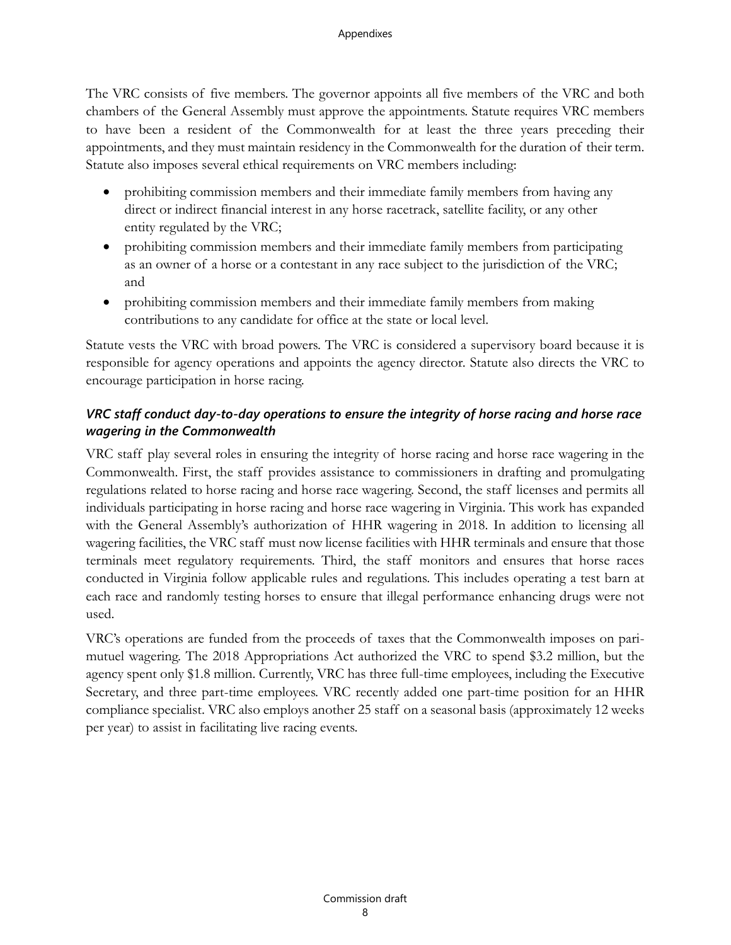#### Appendixes

The VRC consists of five members. The governor appoints all five members of the VRC and both chambers of the General Assembly must approve the appointments. Statute requires VRC members to have been a resident of the Commonwealth for at least the three years preceding their appointments, and they must maintain residency in the Commonwealth for the duration of their term. Statute also imposes several ethical requirements on VRC members including:

- prohibiting commission members and their immediate family members from having any direct or indirect financial interest in any horse racetrack, satellite facility, or any other entity regulated by the VRC;
- prohibiting commission members and their immediate family members from participating as an owner of a horse or a contestant in any race subject to the jurisdiction of the VRC; and
- prohibiting commission members and their immediate family members from making contributions to any candidate for office at the state or local level.

Statute vests the VRC with broad powers. The VRC is considered a supervisory board because it is responsible for agency operations and appoints the agency director. Statute also directs the VRC to encourage participation in horse racing.

#### *VRC staff conduct day-to-day operations to ensure the integrity of horse racing and horse race wagering in the Commonwealth*

VRC staff play several roles in ensuring the integrity of horse racing and horse race wagering in the Commonwealth. First, the staff provides assistance to commissioners in drafting and promulgating regulations related to horse racing and horse race wagering. Second, the staff licenses and permits all individuals participating in horse racing and horse race wagering in Virginia. This work has expanded with the General Assembly's authorization of HHR wagering in 2018. In addition to licensing all wagering facilities, the VRC staff must now license facilities with HHR terminals and ensure that those terminals meet regulatory requirements. Third, the staff monitors and ensures that horse races conducted in Virginia follow applicable rules and regulations. This includes operating a test barn at each race and randomly testing horses to ensure that illegal performance enhancing drugs were not used.

VRC's operations are funded from the proceeds of taxes that the Commonwealth imposes on parimutuel wagering. The 2018 Appropriations Act authorized the VRC to spend \$3.2 million, but the agency spent only \$1.8 million. Currently, VRC has three full-time employees, including the Executive Secretary, and three part-time employees. VRC recently added one part-time position for an HHR compliance specialist. VRC also employs another 25 staff on a seasonal basis (approximately 12 weeks per year) to assist in facilitating live racing events.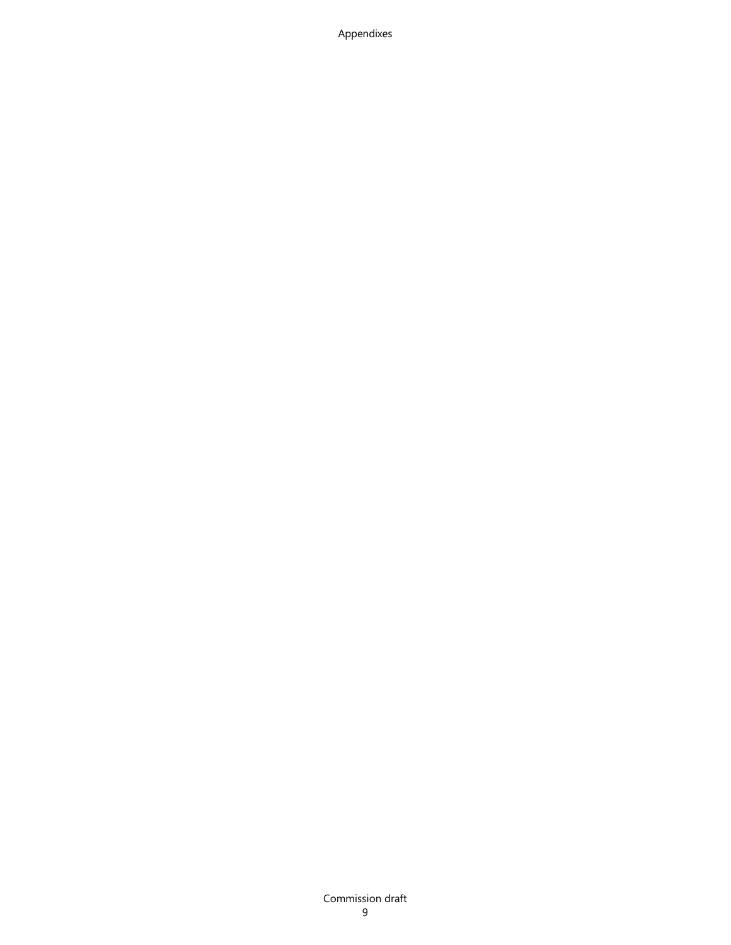Appendixes

#### Commission draft 9